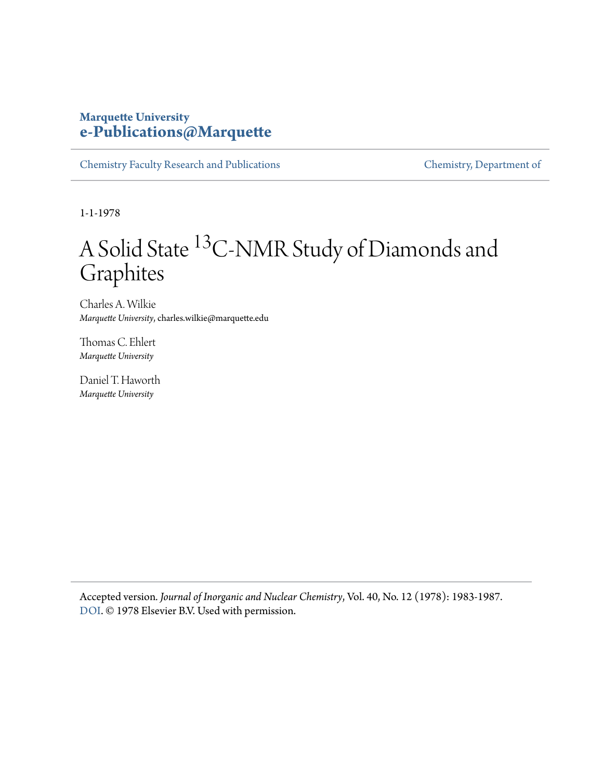#### **Marquette University [e-Publications@Marquette](https://epublications.marquette.edu)**

[Chemistry Faculty Research and Publications](https://epublications.marquette.edu/chem_fac) [Chemistry, Department of](https://epublications.marquette.edu/chemistry)

1-1-1978

## A Solid State <sup>13</sup>C-NMR Study of Diamonds and Graphites

Charles A. Wilkie *Marquette University*, charles.wilkie@marquette.edu

Thomas C. Ehlert *Marquette University*

Daniel T. Haworth *Marquette University*

Accepted version*. Journal of Inorganic and Nuclear Chemistry*, Vol. 40, No. 12 (1978): 1983-1987. [DOI](https://doi.org/10.1016/0022-1902(78)80186-9). © 1978 Elsevier B.V. Used with permission.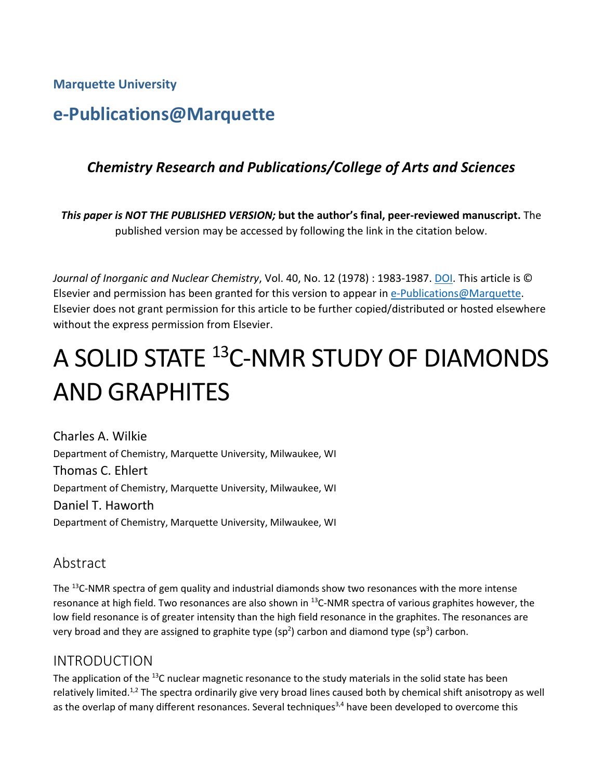**Marquette University**

### **e-Publications@Marquette**

#### *Chemistry Research and Publications/College of Arts and Sciences*

*This paper is NOT THE PUBLISHED VERSION;* **but the author's final, peer-reviewed manuscript.** The published version may be accessed by following the link in the citation below.

*Journal of Inorganic and Nuclear Chemistry*, Vol. 40, No. 12 (1978) : 1983-1987. [DOI.](https://doi.org/10.1016/0022-1902(78)80186-9) This article is © Elsevier and permission has been granted for this version to appear in [e-Publications@Marquette.](http://epublications.marquette.edu/) Elsevier does not grant permission for this article to be further copied/distributed or hosted elsewhere without the express permission from Elsevier.

# A SOLID STATE <sup>13</sup>C-NMR STUDY OF DIAMONDS AND GRAPHITES

Charles A. Wilkie Department of Chemistry, Marquette University, Milwaukee, WI Thomas C. Ehlert Department of Chemistry, Marquette University, Milwaukee, WI Daniel T. Haworth Department of Chemistry, Marquette University, Milwaukee, WI

#### Abstract

The <sup>13</sup>C-NMR spectra of gem quality and industrial diamonds show two resonances with the more intense resonance at high field. Two resonances are also shown in <sup>13</sup>C-NMR spectra of various graphites however, the low field resonance is of greater intensity than the high field resonance in the graphites. The resonances are very broad and they are assigned to graphite type (sp<sup>2</sup>) carbon and diamond type (sp<sup>3</sup>) carbon.

#### INTRODUCTION

The application of the <sup>13</sup>C nuclear magnetic resonance to the study materials in the solid state has been relatively limited.<sup>1,2</sup> The spectra ordinarily give very broad lines caused both by chemical shift anisotropy as well as the overlap of many different resonances. Several techniques<sup>3,4</sup> have been developed to overcome this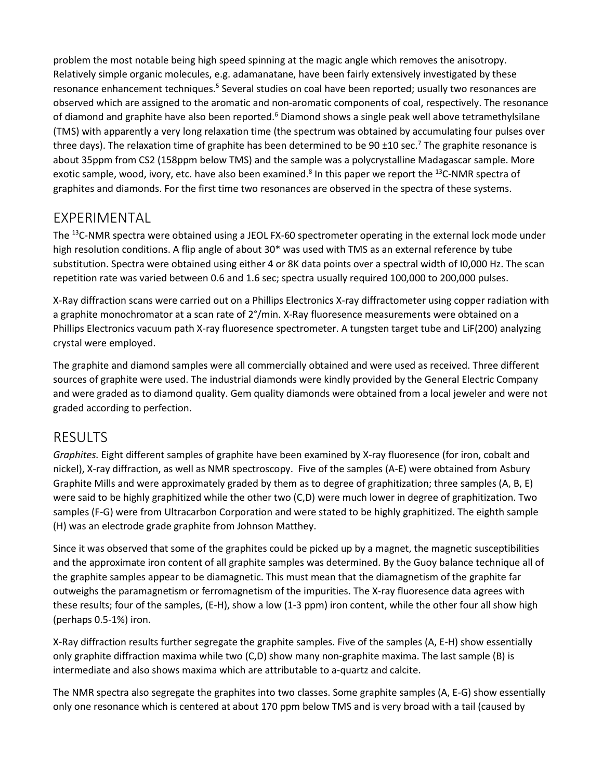problem the most notable being high speed spinning at the magic angle which removes the anisotropy. Relatively simple organic molecules, e.g. adamanatane, have been fairly extensively investigated by these resonance enhancement techniques.<sup>5</sup> Several studies on coal have been reported; usually two resonances are observed which are assigned to the aromatic and non-aromatic components of coal, respectively. The resonance of diamond and graphite have also been reported.<sup>6</sup> Diamond shows a single peak well above tetramethylsilane (TMS) with apparently a very long relaxation time (the spectrum was obtained by accumulating four pulses over three days). The relaxation time of graphite has been determined to be 90 ±10 sec.<sup>7</sup> The graphite resonance is about 35ppm from CS2 (158ppm below TMS) and the sample was a polycrystalline Madagascar sample. More exotic sample, wood, ivory, etc. have also been examined.<sup>8</sup> In this paper we report the <sup>13</sup>C-NMR spectra of graphites and diamonds. For the first time two resonances are observed in the spectra of these systems.

#### EXPERIMENTAL

The <sup>13</sup>C-NMR spectra were obtained using a JEOL FX-60 spectrometer operating in the external lock mode under high resolution conditions. A flip angle of about 30<sup>\*</sup> was used with TMS as an external reference by tube substitution. Spectra were obtained using either 4 or 8K data points over a spectral width of I0,000 Hz. The scan repetition rate was varied between 0.6 and 1.6 sec; spectra usually required 100,000 to 200,000 pulses.

X-Ray diffraction scans were carried out on a Phillips Electronics X-ray diffractometer using copper radiation with a graphite monochromator at a scan rate of 2°/min. X-Ray fluoresence measurements were obtained on a Phillips Electronics vacuum path X-ray fluoresence spectrometer. A tungsten target tube and LiF(200) analyzing crystal were employed.

The graphite and diamond samples were all commercially obtained and were used as received. Three different sources of graphite were used. The industrial diamonds were kindly provided by the General Electric Company and were graded as to diamond quality. Gem quality diamonds were obtained from a local jeweler and were not graded according to perfection.

#### RESULTS

*Graphites.* Eight different samples of graphite have been examined by X-ray fluoresence (for iron, cobalt and nickel), X-ray diffraction, as well as NMR spectroscopy. Five of the samples (A-E) were obtained from Asbury Graphite Mills and were approximately graded by them as to degree of graphitization; three samples (A, B, E) were said to be highly graphitized while the other two (C,D) were much lower in degree of graphitization. Two samples (F-G) were from Ultracarbon Corporation and were stated to be highly graphitized. The eighth sample (H) was an electrode grade graphite from Johnson Matthey.

Since it was observed that some of the graphites could be picked up by a magnet, the magnetic susceptibilities and the approximate iron content of all graphite samples was determined. By the Guoy balance technique all of the graphite samples appear to be diamagnetic. This must mean that the diamagnetism of the graphite far outweighs the paramagnetism or ferromagnetism of the impurities. The X-ray fluoresence data agrees with these results; four of the samples, (E-H), show a low (1-3 ppm) iron content, while the other four all show high (perhaps 0.5-1%) iron.

X-Ray diffraction results further segregate the graphite samples. Five of the samples (A, E-H) show essentially only graphite diffraction maxima while two (C,D) show many non-graphite maxima. The last sample (B) is intermediate and also shows maxima which are attributable to a-quartz and calcite.

The NMR spectra also segregate the graphites into two classes. Some graphite samples (A, E-G) show essentially only one resonance which is centered at about 170 ppm below TMS and is very broad with a tail (caused by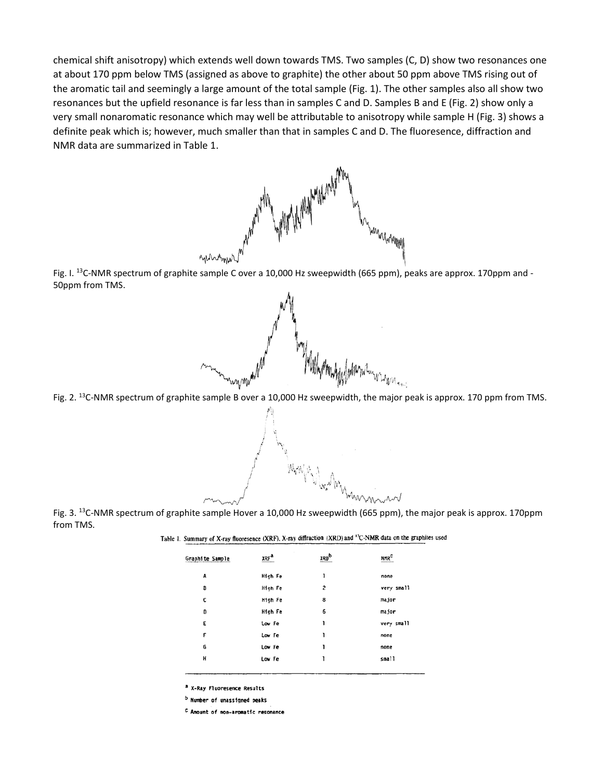chemical shift anisotropy) which extends well down towards TMS. Two samples (C, D) show two resonances one at about 170 ppm below TMS (assigned as above to graphite) the other about 50 ppm above TMS rising out of the aromatic tail and seemingly a large amount of the total sample (Fig. 1). The other samples also all show two resonances but the upfield resonance is far less than in samples C and D. Samples B and E (Fig. 2) show only a very small nonaromatic resonance which may well be attributable to anisotropy while sample H (Fig. 3) shows a definite peak which is; however, much smaller than that in samples C and D. The fluoresence, diffraction and NMR data are summarized in Table 1.



Fig. I. <sup>13</sup>C-NMR spectrum of graphite sample C over a 10,000 Hz sweepwidth (665 ppm), peaks are approx. 170ppm and -50ppm from TMS.



Fig. 2. <sup>13</sup>C-NMR spectrum of graphite sample B over a 10,000 Hz sweepwidth, the major peak is approx. 170 ppm from TMS.

Fig. 3. <sup>13</sup>C-NMR spectrum of graphite sample Hover a 10,000 Hz sweepwidth (665 ppm), the major peak is approx. 170ppm from TMS.

| Table 1. Summary of X-ray fluoresence (XRF), X-ray diffraction (XRD) and <sup>13</sup> C-NMR data on the graphites used |  |  |  |  |
|-------------------------------------------------------------------------------------------------------------------------|--|--|--|--|
|-------------------------------------------------------------------------------------------------------------------------|--|--|--|--|

Magazina M

| Graphite Sample | <b>XRF<sup>a</sup></b> | <b>XRD</b> b | <b>NMR<sup>C</sup></b> |
|-----------------|------------------------|--------------|------------------------|
| A               | High Fe                | 1            | none                   |
| B               | High Fe                | 2            | very small             |
| c               | High Fe                | 8            | major                  |
| D               | High Fe                | 6            | major                  |
| E               | Low Fe                 | ı            | very small             |
| F               | Low Fe                 | 1            | none                   |
| G               | Low Fe                 | ı            | none                   |
| H               | Low Fe                 | ı            | small                  |
|                 |                        |              |                        |

<sup>a</sup> X-Ray Fluoresence Results

b Number of unassigned peaks

C Amount of non-aromatic resonance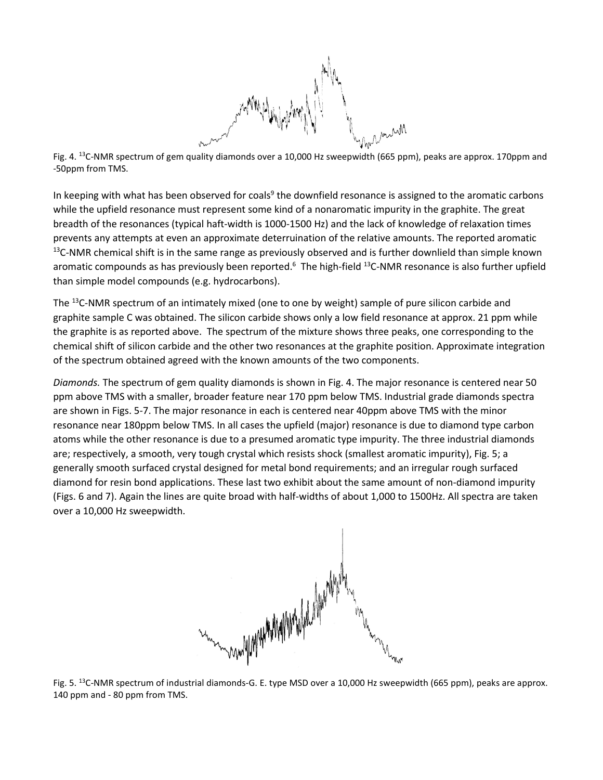

Fig. 4. 13C-NMR spectrum of gem quality diamonds over a 10,000 Hz sweepwidth (665 ppm), peaks are approx. 170ppm and -50ppm from TMS.

In keeping with what has been observed for coals<sup>9</sup> the downfield resonance is assigned to the aromatic carbons while the upfield resonance must represent some kind of a nonaromatic impurity in the graphite. The great breadth of the resonances (typical haft-width is 1000-1500 Hz) and the lack of knowledge of relaxation times prevents any attempts at even an approximate deterruination of the relative amounts. The reported aromatic  $<sup>13</sup>C-NMR$  chemical shift is in the same range as previously observed and is further downlield than simple known</sup> aromatic compounds as has previously been reported.<sup>6</sup> The high-field <sup>13</sup>C-NMR resonance is also further upfield than simple model compounds (e.g. hydrocarbons).

The <sup>13</sup>C-NMR spectrum of an intimately mixed (one to one by weight) sample of pure silicon carbide and graphite sample C was obtained. The silicon carbide shows only a low field resonance at approx. 21 ppm while the graphite is as reported above. The spectrum of the mixture shows three peaks, one corresponding to the chemical shift of silicon carbide and the other two resonances at the graphite position. Approximate integration of the spectrum obtained agreed with the known amounts of the two components.

*Diamonds.* The spectrum of gem quality diamonds is shown in Fig. 4. The major resonance is centered near 50 ppm above TMS with a smaller, broader feature near 170 ppm below TMS. Industrial grade diamonds spectra are shown in Figs. 5-7. The major resonance in each is centered near 40ppm above TMS with the minor resonance near 180ppm below TMS. In all cases the upfield (major) resonance is due to diamond type carbon atoms while the other resonance is due to a presumed aromatic type impurity. The three industrial diamonds are; respectively, a smooth, very tough crystal which resists shock (smallest aromatic impurity), Fig. 5; a generally smooth surfaced crystal designed for metal bond requirements; and an irregular rough surfaced diamond for resin bond applications. These last two exhibit about the same amount of non-diamond impurity (Figs. 6 and 7). Again the lines are quite broad with half-widths of about 1,000 to 1500Hz. All spectra are taken over a 10,000 Hz sweepwidth.



Fig. 5. <sup>13</sup>C-NMR spectrum of industrial diamonds-G. E. type MSD over a 10,000 Hz sweepwidth (665 ppm), peaks are approx. 140 ppm and - 80 ppm from TMS.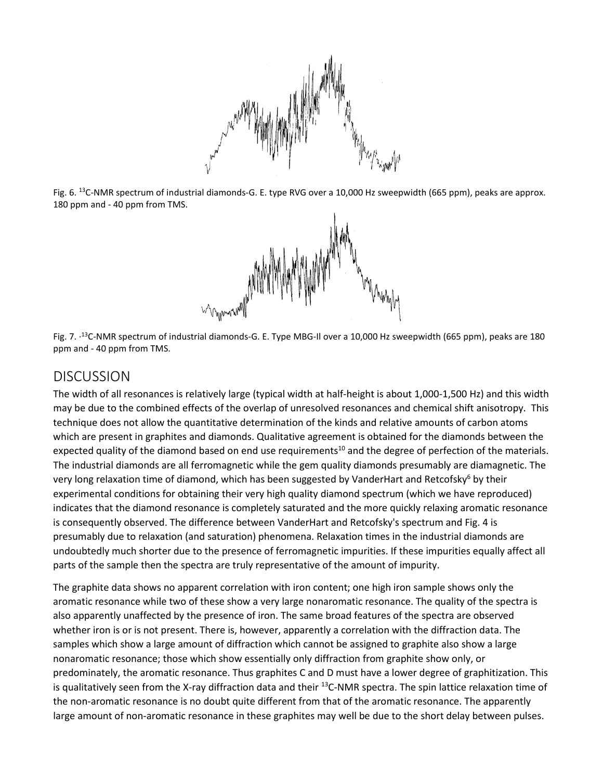

Fig. 6. <sup>13</sup>C-NMR spectrum of industrial diamonds-G. E. type RVG over a 10,000 Hz sweepwidth (665 ppm), peaks are approx. 180 ppm and - 40 ppm from TMS.



Fig. 7. ·13C-NMR spectrum of industrial diamonds-G. E. Type MBG-Il over a 10,000 Hz sweepwidth (665 ppm), peaks are 180 ppm and - 40 ppm from TMS.

#### DISCUSSION

The width of all resonances is relatively large (typical width at half-height is about 1,000-1,500 Hz) and this width may be due to the combined effects of the overlap of unresolved resonances and chemical shift anisotropy. This technique does not allow the quantitative determination of the kinds and relative amounts of carbon atoms which are present in graphites and diamonds. Qualitative agreement is obtained for the diamonds between the expected quality of the diamond based on end use requirements<sup>10</sup> and the degree of perfection of the materials. The industrial diamonds are all ferromagnetic while the gem quality diamonds presumably are diamagnetic. The very long relaxation time of diamond, which has been suggested by VanderHart and Retcofsky<sup>6</sup> by their experimental conditions for obtaining their very high quality diamond spectrum (which we have reproduced) indicates that the diamond resonance is completely saturated and the more quickly relaxing aromatic resonance is consequently observed. The difference between VanderHart and Retcofsky's spectrum and Fig. 4 is presumably due to relaxation (and saturation) phenomena. Relaxation times in the industrial diamonds are undoubtedly much shorter due to the presence of ferromagnetic impurities. If these impurities equally affect all parts of the sample then the spectra are truly representative of the amount of impurity.

The graphite data shows no apparent correlation with iron content; one high iron sample shows only the aromatic resonance while two of these show a very large nonaromatic resonance. The quality of the spectra is also apparently unaffected by the presence of iron. The same broad features of the spectra are observed whether iron is or is not present. There is, however, apparently a correlation with the diffraction data. The samples which show a large amount of diffraction which cannot be assigned to graphite also show a large nonaromatic resonance; those which show essentially only diffraction from graphite show only, or predominately, the aromatic resonance. Thus graphites C and D must have a lower degree of graphitization. This is qualitatively seen from the X-ray diffraction data and their <sup>13</sup>C-NMR spectra. The spin lattice relaxation time of the non-aromatic resonance is no doubt quite different from that of the aromatic resonance. The apparently large amount of non-aromatic resonance in these graphites may well be due to the short delay between pulses.